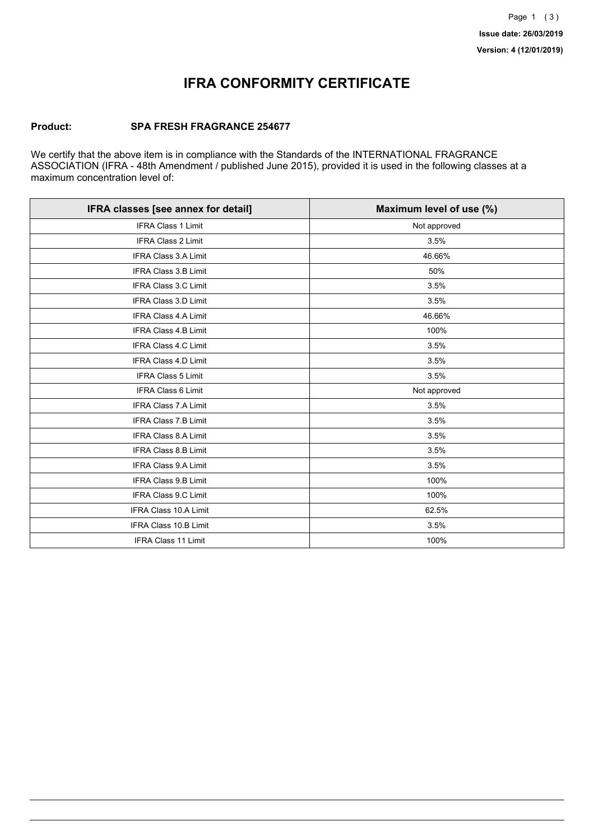## **IFRA CONFORMITY CERTIFICATE**

#### **Product: SPA FRESH FRAGRANCE 254677**

We certify that the above item is in compliance with the Standards of the INTERNATIONAL FRAGRANCE ASSOCIATION (IFRA - 48th Amendment / published June 2015), provided it is used in the following classes at a maximum concentration level of:

| IFRA classes [see annex for detail] | Maximum level of use (%) |
|-------------------------------------|--------------------------|
| <b>IFRA Class 1 Limit</b>           | Not approved             |
| <b>IFRA Class 2 Limit</b>           | 3.5%                     |
| <b>IFRA Class 3.A Limit</b>         | 46.66%                   |
| IFRA Class 3.B Limit                | 50%                      |
| IFRA Class 3.C Limit                | 3.5%                     |
| <b>IFRA Class 3.D Limit</b>         | 3.5%                     |
| <b>IFRA Class 4.A Limit</b>         | 46.66%                   |
| <b>IFRA Class 4.B Limit</b>         | 100%                     |
| IFRA Class 4.C Limit                | 3.5%                     |
| <b>IFRA Class 4.D Limit</b>         | 3.5%                     |
| <b>IFRA Class 5 Limit</b>           | 3.5%                     |
| IFRA Class 6 Limit                  | Not approved             |
| <b>IFRA Class 7.A Limit</b>         | 3.5%                     |
| <b>IFRA Class 7.B Limit</b>         | 3.5%                     |
| <b>IFRA Class 8.A Limit</b>         | 3.5%                     |
| <b>IFRA Class 8.B Limit</b>         | 3.5%                     |
| IFRA Class 9.A Limit                | 3.5%                     |
| <b>IFRA Class 9.B Limit</b>         | 100%                     |
| IFRA Class 9.C Limit                | 100%                     |
| IFRA Class 10.A Limit               | 62.5%                    |
| <b>IFRA Class 10.B Limit</b>        | 3.5%                     |
| IFRA Class 11 Limit                 | 100%                     |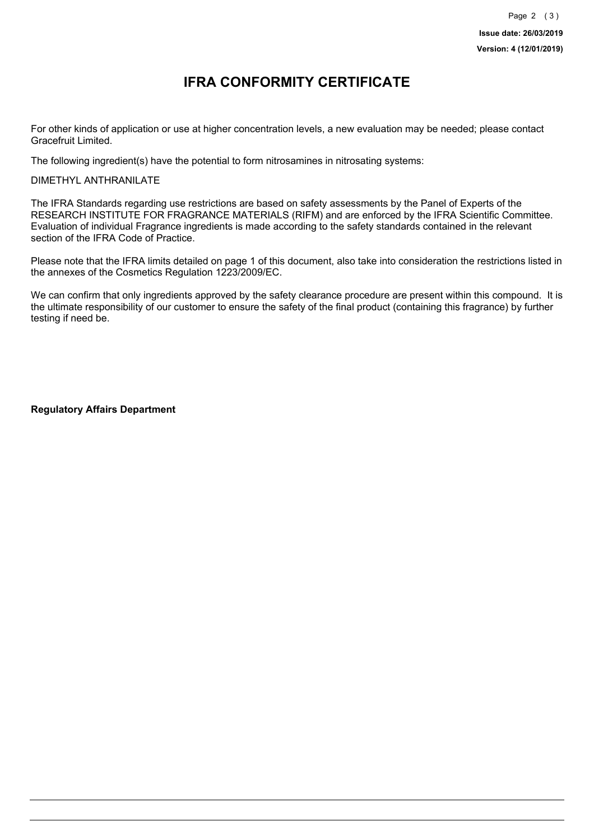### **IFRA CONFORMITY CERTIFICATE**

For other kinds of application or use at higher concentration levels, a new evaluation may be needed; please contact Gracefruit Limited.

The following ingredient(s) have the potential to form nitrosamines in nitrosating systems:

DIMETHYL ANTHRANILATE

The IFRA Standards regarding use restrictions are based on safety assessments by the Panel of Experts of the RESEARCH INSTITUTE FOR FRAGRANCE MATERIALS (RIFM) and are enforced by the IFRA Scientific Committee. Evaluation of individual Fragrance ingredients is made according to the safety standards contained in the relevant section of the IFRA Code of Practice.

Please note that the IFRA limits detailed on page 1 of this document, also take into consideration the restrictions listed in the annexes of the Cosmetics Regulation 1223/2009/EC.

We can confirm that only ingredients approved by the safety clearance procedure are present within this compound. It is the ultimate responsibility of our customer to ensure the safety of the final product (containing this fragrance) by further testing if need be.

**Regulatory Affairs Department**